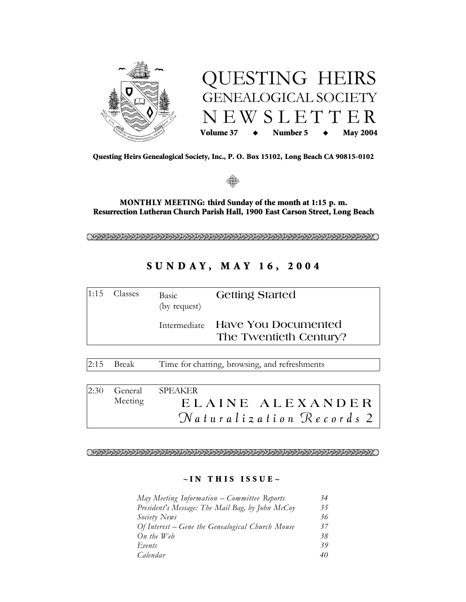



Questing Heirs Genealogical Society, Inc., P. O. Box 15102, Long Beach CA 90815-0102



MONTHLY MEETING: third Sunday of the month at 1:15 p.m. Resurrection Lutheran Church Parish Hall, 1900 East Carson Street, Long Beach

# SUNDAY, MAY 16, 2004

| $ 1:15$ Classes | Basic<br>(by request) | <b>Getting Started</b>                                     |
|-----------------|-----------------------|------------------------------------------------------------|
|                 |                       | Intermediate Have You Documented<br>The Twentieth Century? |

**Break** Time for chatting, browsing, and refreshments  $2:15$ 

 $2:30$ General **SPEAKER** ELAINE ALEXANDER Meeting  $N$ aturalization Records 2

## $\sim$  IN THIS ISSUE  $\sim$

| May Meeting Information – Committee Reports      | 34 |
|--------------------------------------------------|----|
| President's Message: The Mail Bag, by John McCoy | 35 |
| Society News                                     | 36 |
| Of Interest – Gene the Genealogical Church Mouse | 37 |
| $On$ the Web                                     | 38 |
| Events                                           | 39 |
| Calendar                                         | 40 |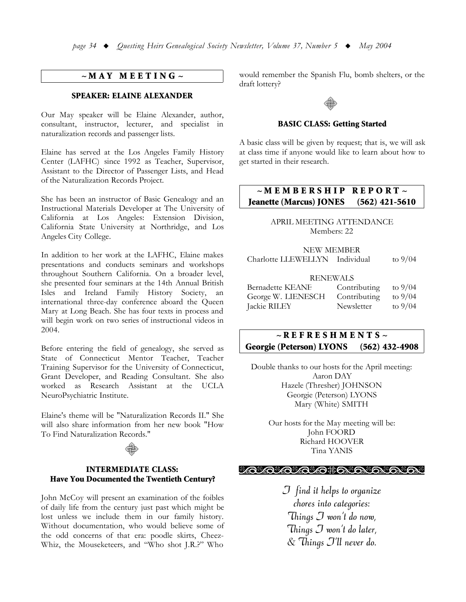## $~\sim MAY$  MEETING  $~\sim$

## **SPEAKER: ELAINE ALEXANDER**

Our May speaker will be Elaine Alexander, author, consultant, instructor, lecturer, and specialist in naturalization records and passenger lists.

Elaine has served at the Los Angeles Family History Center (LAFHC) since 1992 as Teacher, Supervisor, Assistant to the Director of Passenger Lists, and Head of the Naturalization Records Project.

She has been an instructor of Basic Genealogy and an Instructional Materials Developer at The University of California at Los Angeles: Extension Division, California State University at Northridge, and Los Angeles City College.

In addition to her work at the LAFHC, Elaine makes presentations and conducts seminars and workshops throughout Southern California. On a broader level, she presented four seminars at the 14th Annual British Isles and Ireland Family History Society, an international three-day conference aboard the Queen Mary at Long Beach. She has four texts in process and will begin work on two series of instructional videos in 2004.

Before entering the field of genealogy, she served as State of Connecticut Mentor Teacher, Teacher Training Supervisor for the University of Connecticut, Grant Developer, and Reading Consultant. She also worked as Research Assistant at the UCLA NeuroPsychiatric Institute.

Elaine's theme will be "Naturalization Records II." She will also share information from her new book "How To Find Naturalization Records."

## **INTERMEDIATE CLASS:** Have You Documented the Twentieth Century?

John McCoy will present an examination of the foibles of daily life from the century just past which might be lost unless we include them in our family history. Without documentation, who would believe some of the odd concerns of that era: poodle skirts, Cheez-Whiz, the Mouseketeers, and "Who shot J.R.?" Who

would remember the Spanish Flu, bomb shelters, or the draft lottery?

#### **BASIC CLASS: Getting Started**

A basic class will be given by request; that is, we will ask at class time if anyone would like to learn about how to get started in their research.

#### $\sim$  M E M B E R S H I P  $R E P O R T \sim$ **Jeanette (Marcus) JONES**  $(562)$  421-5610

APRIL MEETING ATTENDANCE Members: 22

## **NEW MEMBER**

Charlotte LLEWELLYN Individual to  $9/04$ 

## **RENEWALS**

| <b>Bernadette KEANE</b> | Contributing | to $9/04$ |
|-------------------------|--------------|-----------|
| George W. LIENESCH      | Contributing | to $9/04$ |
| Jackie RILEY            | Newsletter   | to $9/04$ |

#### $\sim$  REFRESHMENTS  $\sim$ **Georgie (Peterson) LYONS**  $(562)$  432-4908

Double thanks to our hosts for the April meeting: Aaron DAY Hazele (Thresher) JOHNSON Georgie (Peterson) LYONS Mary (White) SMITH

> Our hosts for the May meeting will be: John FOORD Richard HOOVER Tina YANIS

### *ശ്രാരശ്ര*ിക്കുകയും

 $J$  find it helps to organize chores into categories: Things  $\mathcal I$  won't do now, Things  $\mathcal J$  won't do later, & Things J'll never do.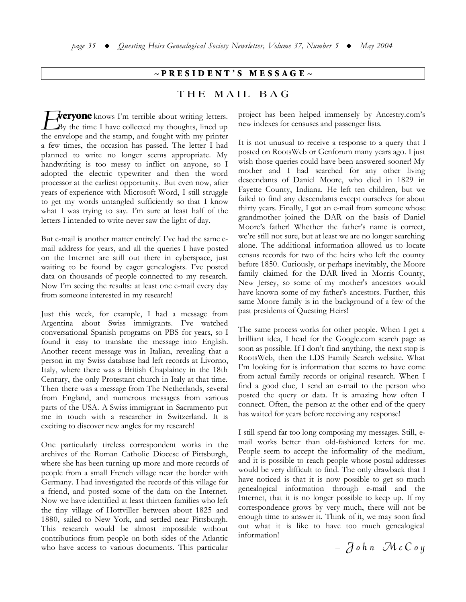## $\sim$ PRESIDENT'S MESSAGE $\sim$

## THE MAIL BAG

**veryone** knows I'm terrible about writing letters.  $\mathbf{B}$ y the time I have collected my thoughts, lined up the envelope and the stamp, and fought with my printer a few times, the occasion has passed. The letter I had planned to write no longer seems appropriate. My handwriting is too messy to inflict on anyone, so I adopted the electric typewriter and then the word processor at the earliest opportunity. But even now, after years of experience with Microsoft Word, I still struggle to get my words untangled sufficiently so that I know what I was trying to say. I'm sure at least half of the letters I intended to write never saw the light of day.

But e-mail is another matter entirely! I've had the same email address for years, and all the queries I have posted on the Internet are still out there in cyberspace, just waiting to be found by eager genealogists. I've posted data on thousands of people connected to my research. Now I'm seeing the results: at least one e-mail every day from someone interested in my research!

Just this week, for example, I had a message from Argentina about Swiss immigrants. I've watched conversational Spanish programs on PBS for years, so I found it easy to translate the message into English. Another recent message was in Italian, revealing that a person in my Swiss database had left records at Livorno, Italy, where there was a British Chaplaincy in the 18th Century, the only Protestant church in Italy at that time. Then there was a message from The Netherlands, several from England, and numerous messages from various parts of the USA. A Swiss immigrant in Sacramento put me in touch with a researcher in Switzerland. It is exciting to discover new angles for my research!

One particularly tireless correspondent works in the archives of the Roman Catholic Diocese of Pittsburgh, where she has been turning up more and more records of people from a small French village near the border with Germany. I had investigated the records of this village for a friend, and posted some of the data on the Internet. Now we have identified at least thirteen families who left the tiny village of Hottviller between about 1825 and 1880, sailed to New York, and settled near Pittsburgh. This research would be almost impossible without contributions from people on both sides of the Atlantic who have access to various documents. This particular

project has been helped immensely by Ancestry.com's new indexes for censuses and passenger lists.

It is not unusual to receive a response to a query that I posted on RootsWeb or Genforum many years ago. I just wish those queries could have been answered sooner! My mother and I had searched for any other living descendants of Daniel Moore, who died in 1829 in Fayette County, Indiana. He left ten children, but we failed to find any descendants except ourselves for about thirty years. Finally, I got an e-mail from someone whose grandmother joined the DAR on the basis of Daniel Moore's father! Whether the father's name is correct, we're still not sure, but at least we are no longer searching alone. The additional information allowed us to locate census records for two of the heirs who left the county before 1850. Curiously, or perhaps inevitably, the Moore family claimed for the DAR lived in Morris County, New Jersey, so some of my mother's ancestors would have known some of my father's ancestors. Further, this same Moore family is in the background of a few of the past presidents of Questing Heirs!

The same process works for other people. When I get a brilliant idea, I head for the Google.com search page as soon as possible. If I don't find anything, the next stop is RootsWeb, then the LDS Family Search website. What I'm looking for is information that seems to have come from actual family records or original research. When I find a good clue, I send an e-mail to the person who posted the query or data. It is amazing how often I connect. Often, the person at the other end of the query has waited for years before receiving any response!

I still spend far too long composing my messages. Still, email works better than old-fashioned letters for me. People seem to accept the informality of the medium, and it is possible to reach people whose postal addresses would be very difficult to find. The only drawback that I have noticed is that it is now possible to get so much genealogical information through e-mail and the Internet, that it is no longer possible to keep up. If my correspondence grows by very much, there will not be enough time to answer it. Think of it, we may soon find out what it is like to have too much genealogical information!

 $-$  John McCoy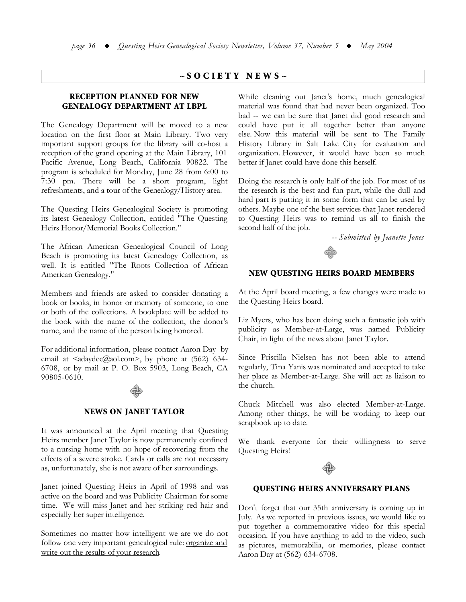## $\sim$ SOCIETY NEWS $\sim$

## **RECEPTION PLANNED FOR NEW GENEALOGY DEPARTMENT AT LBPL**

The Genealogy Department will be moved to a new location on the first floor at Main Library. Two very important support groups for the library will co-host a reception of the grand opening at the Main Library, 101 Pacific Avenue, Long Beach, California 90822. The program is scheduled for Monday, June 28 from 6:00 to 7:30 pm. There will be a short program, light refreshments, and a tour of the Genealogy/History area.

The Questing Heirs Genealogical Society is promoting its latest Genealogy Collection, entitled "The Questing Heirs Honor/Memorial Books Collection."

The African American Genealogical Council of Long Beach is promoting its latest Genealogy Collection, as well. It is entitled "The Roots Collection of African American Genealogy."

Members and friends are asked to consider donating a book or books, in honor or memory of someone, to one or both of the collections. A bookplate will be added to the book with the name of the collection, the donor's name, and the name of the person being honored.

For additional information, please contact Aaron Day by email at  $\langle \text{adaydec}(\text{Qaol.com}\rangle)$ , by phone at (562) 634-6708, or by mail at P. O. Box 5903, Long Beach, CA 90805-0610.



## **NEWS ON JANET TAYLOR**

It was announced at the April meeting that Questing Heirs member Janet Taylor is now permanently confined to a nursing home with no hope of recovering from the effects of a severe stroke. Cards or calls are not necessary as, unfortunately, she is not aware of her surroundings.

Janet joined Questing Heirs in April of 1998 and was active on the board and was Publicity Chairman for some time. We will miss Janet and her striking red hair and especially her super intelligence.

Sometimes no matter how intelligent we are we do not follow one very important genealogical rule: organize and write out the results of your research.

While cleaning out Janet's home, much genealogical material was found that had never been organized. Too bad -- we can be sure that Janet did good research and could have put it all together better than anyone else. Now this material will be sent to The Family History Library in Salt Lake City for evaluation and organization. However, it would have been so much better if Janet could have done this herself.

Doing the research is only half of the job. For most of us the research is the best and fun part, while the dull and hard part is putting it in some form that can be used by others. Maybe one of the best services that Janet rendered to Questing Heirs was to remind us all to finish the second half of the job.

-- Submitted by Jeanette Jones



### **NEW QUESTING HEIRS BOARD MEMBERS**

At the April board meeting, a few changes were made to the Questing Heirs board.

Liz Myers, who has been doing such a fantastic job with publicity as Member-at-Large, was named Publicity Chair, in light of the news about Janet Taylor.

Since Priscilla Nielsen has not been able to attend regularly, Tina Yanis was nominated and accepted to take her place as Member-at-Large. She will act as liaison to the church.

Chuck Mitchell was also elected Member-at-Large. Among other things, he will be working to keep our scrapbook up to date.

We thank everyone for their willingness to serve Questing Heirs!



### **QUESTING HEIRS ANNIVERSARY PLANS**

Don't forget that our 35th anniversary is coming up in July. As we reported in previous issues, we would like to put together a commemorative video for this special occasion. If you have anything to add to the video, such as pictures, memorabilia, or memories, please contact Aaron Day at (562) 634-6708.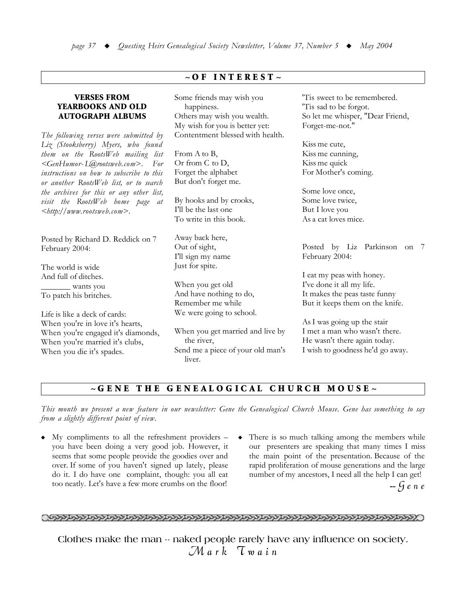## $\sim$  OF INTEREST  $\sim$

## **VERSES FROM** YEARBOOKS AND OLD **AUTOGRAPH ALBUMS**

The following verses were submitted by Liz (Stooksberry) Myers, who found them on the RootsWeb mailing list <GenHumor-L@rootsweb.com>. For instructions on how to subscribe to this or another RootsWeb list, or to search the archives for this or any other list, visit the RootsWeb home page at  $\lt$ http://www.rootsweb.com>.

Posted by Richard D. Reddick on 7 February 2004:

The world is wide And full of ditches. wants you To patch his britches.

Life is like a deck of cards: When you're in love it's hearts, When you're engaged it's diamonds, When you're married it's clubs, When you die it's spades.

Some friends may wish you happiness. Others may wish you wealth. My wish for you is better yet: Contentment blessed with health.

From A to B, Or from C to D, Forget the alphabet But don't forget me.

By hooks and by crooks, I'll be the last one To write in this book.

Away back here, Out of sight, I'll sign my name Just for spite.

When you get old And have nothing to do, Remember me while We were going to school.

When you get married and live by the river, Send me a piece of your old man's liver.

'Tis sweet to be remembered. 'Tis sad to be forgot. So let me whisper, "Dear Friend, Forget-me-not."

Kiss me cute, Kiss me cunning, Kiss me quick For Mother's coming.

Some love once. Some love twice, But I love you As a cat loves mice.

Posted by Liz Parkinson on 7 February 2004:

I eat my peas with honey. I've done it all my life. It makes the peas taste funny But it keeps them on the knife.

As I was going up the stair I met a man who wasn't there. He wasn't there again today. I wish to goodness he'd go away.

#### THE GENEALOGICAL CHURCH MOUSE~  $\sim$  G E N E

This month we present a new feature in our newsletter: Gene the Genealogical Church Mouse. Gene has something to say from a slightly different point of view.

- $\bullet$  My compliments to all the refreshment providers you have been doing a very good job. However, it seems that some people provide the goodies over and over. If some of you haven't signed up lately, please do it. I do have one complaint, though: you all eat too neatly. Let's have a few more crumbs on the floor!
- There is so much talking among the members while our presenters are speaking that many times I miss the main point of the presentation. Because of the rapid proliferation of mouse generations and the large number of my ancestors, I need all the help I can get!  $-$  Gene

## <u>Okanananan kananan sama yang dananan samanan sama yang samanan saman sama saman saman saman saman saman saman </u>

Clothes make the man -- naked people rarely have any influence on society.  $\mathcal{M}$ ark  $\tau$ wain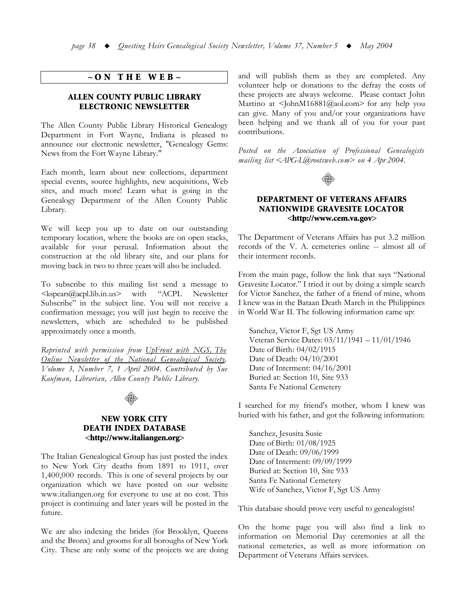## $\sim$  ON THE WEB $\sim$

## ALLEN COUNTY PUBLIC LIBRARY ELECTRONIC NEWSLETTER

The Allen County Public Library Historical Genealogy Department in Fort Wayne, Indiana is pleased to announce our electronic newsletter, "Genealogy Gems: News from the Fort Wayne Library."

Each month, learn about new collections, department special events, source highlights, new acquisitions, Web sites, and much more! Learn what is going in the Genealogy Department of the Allen County Public Library.

We will keep you up to date on our outstanding temporary location, where the books are on open stacks, available for your perusal. Information about the construction at the old library site, and our plans for moving back in two to three years will also be included.

To subscribe to this mailing list send a message to  $\langle kspears@acpl.lib.in.us>$  with "ACPL Newsletter Subscribe" in the subject line. You will not receive a confirmation message; you will just begin to receive the newsletters, which are scheduled to be published approximately once a month.

*Reprinted with permission from UpFront with NGS, The <u>Conline Newsletter of the National Genealogical Society,*</u> *Volume 3, Number 7, 1 April 2004, Contributed by Sue Kaufman, Librarian, Allen County Public Library.* 



## **NEW YORK CITY** DEATH INDEX DATABASE <http://www.italiangen.org>

The Italian Genealogical Group has just posted the index to New York City deaths from 1891 to 1911, over  $1,400,000$  records. This is one of several projects by our organization which we have posted on our website www.italiangen.org for everyone to use at no cost. This project is continuing and later years will be posted in the future.

We are also indexing the brides (for Brooklyn, Queens and the Bronx) and grooms for all boroughs of New York City. These are only some of the projects we are doing and will publish them as they are completed. Any volunteer help or donations to the defray the costs of these projects are always welcome. Please contact John Martino at  $\leq$  [ohnM16881@aol.com> for any help you can give. Many of you and/or your organizations have been helping and we thank all of you for your past contributions.

*Posted on the Association of Professional Genealogists*  $mailing$  *list*  $\leq$   $APG$ -L@rootsweb.com > on 4  $A$ br 2004.



## DEPARTMENT OF VETERANS AFFAIRS NATIONWIDE GRAVESITE LOCATOR  $\langle$ http://www.cem.va.gov>

The Department of Veterans Affairs has put 3.2 million records of the V. A. cemeteries online -- almost all of their interment records.

From the main page, follow the link that says "National Gravesite Locator." I tried it out by doing a simple search for Victor Sanchez, the father of a friend of mine, whom I knew was in the Bataan Death March in the Philippines in World War II. The following information came up:

Sanchez, Victor F, Sgt US Army Veteran Service Dates:  $03/11/1941 - 11/01/1946$ Date of Birth:  $04/02/1915$ Date of Death:  $04/10/2001$ Date of Interment:  $04/16/2001$ Buried at: Section 10, Site 933 Santa Fe National Cemetery

I searched for my friend's mother, whom I knew was buried with his father, and got the following information:

Sanchez, Jesusita Susie Date of Birth: 01/08/1925 Date of Death: 09/06/1999 Date of Interment:  $09/09/1999$ Buried at: Section 10, Site 933 Santa Fe National Cemetery Wife of Sanchez, Victor F, Sgt US Army

This database should prove very useful to genealogists!

On the home page you will also find a link to information on Memorial Day ceremonies at all the national cemeteries, as well as more information on Department of Veterans Affairs services.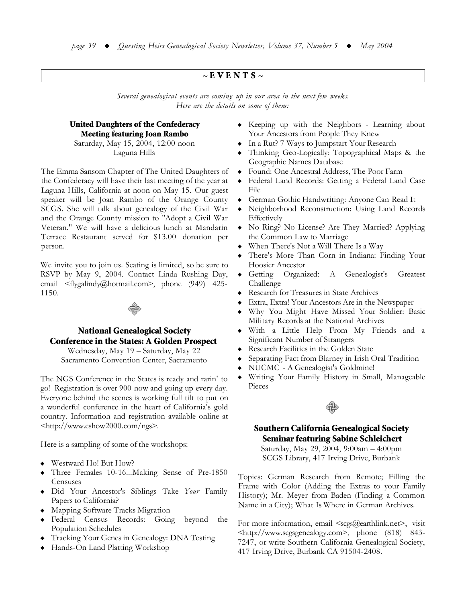## $\sim$ EVENTS $\sim$

Several genealogical events are coming up in our area in the next few weeks. Here are the details on some of them:

# **United Daughters of the Confederacy Meeting featuring Joan Rambo**

Saturday, May 15, 2004, 12:00 noon Laguna Hills

The Emma Sansom Chapter of The United Daughters of the Confederacy will have their last meeting of the year at Laguna Hills, California at noon on May 15. Our guest speaker will be Joan Rambo of the Orange County SCGS. She will talk about genealogy of the Civil War and the Orange County mission to "Adopt a Civil War Veteran." We will have a delicious lunch at Mandarin Terrace Restaurant served for \$13.00 donation per person.

We invite you to join us. Seating is limited, so be sure to RSVP by May 9, 2004. Contact Linda Rushing Day, email <flygalindy@hotmail.com>, phone (949) 425-1150.



## **National Genealogical Society Conference in the States: A Golden Prospect**

Wednesday, May 19 - Saturday, May 22 Sacramento Convention Center, Sacramento

The NGS Conference in the States is ready and rarin' to go! Registration is over 900 now and going up every day. Everyone behind the scenes is working full tilt to put on a wonderful conference in the heart of California's gold country. Information and registration available online at <http://www.eshow2000.com/ngs>.

Here is a sampling of some of the workshops:

- Westward Ho! But How?
- Three Females 10-16...Making Sense of Pre-1850 Censuses
- Did Your Ancestor's Siblings Take Your Family Papers to California?
- Mapping Software Tracks Migration
- Federal Census Records: Going beyond the **Population Schedules**
- Tracking Your Genes in Genealogy: DNA Testing
- Hands-On Land Platting Workshop
- Keeping up with the Neighbors Learning about Your Ancestors from People They Knew
- $\bullet$  In a Rut? 7 Ways to Jumpstart Your Research
- Thinking Geo-Logically: Topographical Maps & the Geographic Names Database
- Found: One Ancestral Address, The Poor Farm
- Federal Land Records: Getting a Federal Land Case  $\bullet$ File
- German Gothic Handwriting: Anyone Can Read It
- Neighborhood Reconstruction: Using Land Records  $\blacklozenge$ Effectively
- No Ring? No License? Are They Married? Applying the Common Law to Marriage
- When There's Not a Will There Is a Way
- There's More Than Corn in Indiana: Finding Your Hoosier Ancestor
- Organized: Genealogist's  $\bullet$  Getting  $\boldsymbol{A}$ Greatest Challenge
- Research for Treasures in State Archives
- Extra, Extra! Your Ancestors Are in the Newspaper
- Why You Might Have Missed Your Soldier: Basic Military Records at the National Archives
- · With a Little Help From My Friends and a Significant Number of Strangers
- Research Facilities in the Golden State
- Separating Fact from Blarney in Irish Oral Tradition
- NUCMC A Genealogist's Goldmine!
- Writing Your Family History in Small, Manageable Pieces



## **Southern California Genealogical Society Seminar featuring Sabine Schleichert**

Saturday, May 29, 2004, 9:00am - 4:00pm SCGS Library, 417 Irving Drive, Burbank

Topics: German Research from Remote; Filling the Frame with Color (Adding the Extras to your Family History); Mr. Meyer from Baden (Finding a Common Name in a City); What Is Where in German Archives.

For more information, email  $\langle \text{scgs}(\hat{a}) \rangle$  earthlink.net >, visit <http://www.scgsgenealogy.com>, phone (818) 843-7247, or write Southern California Genealogical Society, 417 Irving Drive, Burbank CA 91504-2408.